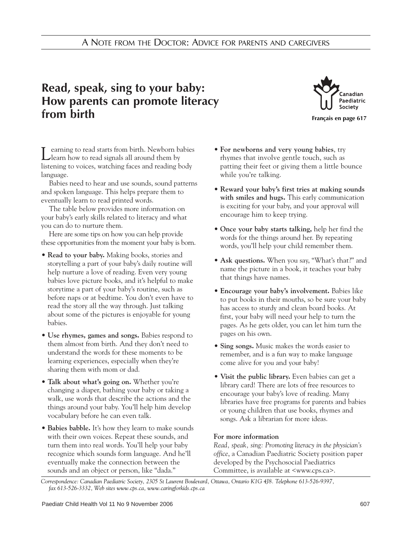## **Read, speak, sing to your baby: How parents can promote literacy from birth**



Learning to read starts from birth. Newborn babies learn how to read signals all around them by listening to voices, watching faces and reading body language.

Babies need to hear and use sounds, sound patterns and spoken language. This helps prepare them to eventually learn to read printed words.

The table below provides more information on your baby's early skills related to literacy and what you can do to nurture them.

Here are some tips on how you can help provide these opportunities from the moment your baby is born.

- **Read to your baby.** Making books, stories and storytelling a part of your baby's daily routine will help nurture a love of reading. Even very young babies love picture books, and it's helpful to make storytime a part of your baby's routine, such as before naps or at bedtime. You don't even have to read the story all the way through. Just talking about some of the pictures is enjoyable for young babies.
- **Use rhymes, games and songs.** Babies respond to them almost from birth. And they don't need to understand the words for these moments to be learning experiences, especially when they're sharing them with mom or dad.
- **Talk about what's going on.** Whether you're changing a diaper, bathing your baby or taking a walk, use words that describe the actions and the things around your baby. You'll help him develop vocabulary before he can even talk.
- **Babies babble.** It's how they learn to make sounds with their own voices. Repeat these sounds, and turn them into real words. You'll help your baby recognize which sounds form language. And he'll eventually make the connection between the sounds and an object or person, like "dada."
- **For newborns and very young babies**, try rhymes that involve gentle touch, such as patting their feet or giving them a little bounce while you're talking.
- **Reward your baby's first tries at making sounds with smiles and hugs.** This early communication is exciting for your baby, and your approval will encourage him to keep trying.
- **Once your baby starts talking,** help her find the words for the things around her. By repeating words, you'll help your child remember them.
- **Ask questions.** When you say, "What's that?" and name the picture in a book, it teaches your baby that things have names.
- **Encourage your baby's involvement.** Babies like to put books in their mouths, so be sure your baby has access to sturdy and clean board books. At first, your baby will need your help to turn the pages. As he gets older, you can let him turn the pages on his own.
- **Sing songs.** Music makes the words easier to remember, and is a fun way to make language come alive for you and your baby!
- **Visit the public library.** Even babies can get a library card! There are lots of free resources to encourage your baby's love of reading. Many libraries have free programs for parents and babies or young children that use books, rhymes and songs. Ask a librarian for more ideas.

## **For more information**

*Read, speak, sing: Promoting literacy in the physician's office*, a Canadian Paediatric Society position paper developed by the Psychosocial Paediatrics Committee, is available at <www.cps.ca>.

*Correspondence: Canadian Paediatric Society, 2305 St Laurent Boulevard, Ottawa, Ontario K1G 4J8. Telephone 613-526-9397, fax 613-526-3332, Web sites www.cps.ca, www.caringforkids.cps.ca*